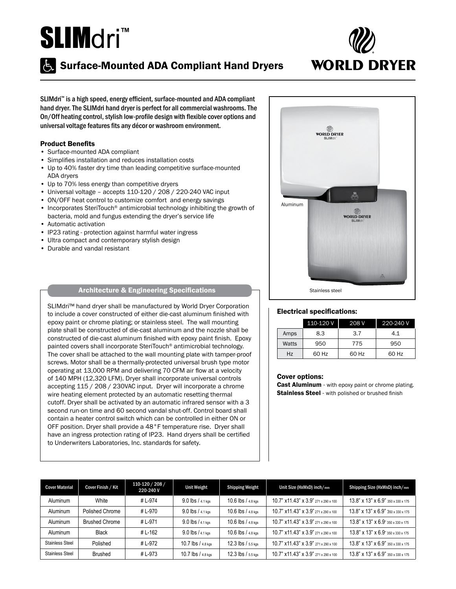# SLIMdri<sup>™</sup>



# **Surface-Mounted ADA Compliant Hand Dryers**

SLIMdri™ is a high speed, energy efficient, surface-mounted and ADA compliant hand dryer. The SLIMdri hand dryer is perfect for all commercial washrooms. The On/Off heating control, stylish low-profile design with flexible cover options and universal voltage features fits any décor or washroom environment.

#### Product Benefits

- Surface-mounted ADA compliant
- Simplifies installation and reduces installation costs
- Up to 40% faster dry time than leading competitive surface-mounted ADA dryers
- Up to 70% less energy than competitive dryers
- Universal voltage accepts 110-120 / 208 / 220-240 VAC input
- ON/OFF heat control to customize comfort and energy savings
- Incorporates SteriTouch<sup>®</sup> antimicrobial technology inhibiting the growth of bacteria, mold and fungus extending the dryer's service life
- Automatic activation
- IP23 rating protection against harmful water ingress
- Ultra compact and contemporary stylish design
- Durable and vandal resistant

## Architecture & Engineering Specifications

SLIMdri<sup>™</sup> hand dryer shall be manufactured by World Dryer Corporation to include a cover constructed of either die-cast aluminum finished with epoxy paint or chrome plating; or stainless steel. The wall mounting plate shall be constructed of die-cast aluminum and the nozzle shall be constructed of die-cast aluminum finished with epoxy paint finish. Epoxy painted covers shall incorporate SteriTouch® antimicrobial technology. The cover shall be attached to the wall mounting plate with tamper-proof screws. Motor shall be a thermally-protected universal brush type motor operating at 13,000 RPM and delivering 70 CFM air flow at a velocity of 140 MPH (12,320 LFM). Dryer shall incorporate universal controls accepting 115 / 208 / 230VAC input. Dryer will incorporate a chrome wire heating element protected by an automatic resetting thermal cutoff. Dryer shall be activated by an automatic infrared sensor with a 3 second run-on time and 60 second vandal shut-off. Control board shall contain a heater control switch which can be controlled in either ON or OFF position. Dryer shall provide a 48°F temperature rise. Dryer shall have an ingress protection rating of IP23. Hand dryers shall be certified to Underwriters Laboratories, Inc. standards for safety.



#### Electrical specifications:

|       | 110-120 V | 208 V | 220-240 V |
|-------|-----------|-------|-----------|
| Amps  | 8.3       | 3.7   | 4.1       |
| Watts | 950       | 775   | 950       |
| Hz    | 60 Hz     | 60 Hz | 60 Hz     |

#### Cover options:

Cast Aluminum - with epoxy paint or chrome plating. **Stainless Steel** - with polished or brushed finish

| <b>Cover Material</b>  | Cover Finish / Kit    | 110-120 / 208 /<br>220-240 V | <b>Unit Weight</b>    | <b>Shipping Weight</b> | Unit Size (HxWxD) inch/mm                                  | Shipping Size (HxWxD) inch/mm                        |
|------------------------|-----------------------|------------------------------|-----------------------|------------------------|------------------------------------------------------------|------------------------------------------------------|
| Aluminum               | White                 | #L-974                       | $9.0$ lbs / $4.1$ kgs | $10.6$ lbs / $4.8$ kgs | 10.7" x11.43" x 3.9" 271 x 290 x 100                       | 13.8" x 13" x 6.9" 350 x 330 x 175                   |
| Aluminum               | Polished Chrome       | # L-970                      | 9.0 lbs / 4.1 kgs     | 10.6 lbs / 4.8 kgs     | 10.7" x11.43" x 3.9" 271 x 290 x 100                       | $13.8"$ x $13"$ x $6.9"$ $350 \times 330 \times 175$ |
| Aluminum               | <b>Brushed Chrome</b> | #L-971                       | $9.0$ lbs $/4.1$ kgs  | 10.6 lbs / 4.8 kgs     | 10.7" x11.43" x 3.9" 271 x 290 x 100                       | 13.8" x 13" x 6.9" 350 x 330 x 175                   |
| Aluminum               | Black                 | #L-162                       | 9.0 lbs / 4.1 kgs     | 10.6 lbs / 4.8 kgs     | $10.7$ " x $11.43$ " x $3.9$ " $271 \times 290 \times 100$ | 13.8" x 13" x 6.9" 350 x 330 x 175                   |
| <b>Stainless Steel</b> | Polished              | #L-972                       | 10.7 lbs / 4.8 kgs    | $12.3$ lbs $/5.5$ kgs  | 10.7" x11.43" x 3.9" 271 x 290 x 100                       | 13.8" x 13" x 6.9" 350 x 330 x 175                   |
| <b>Stainless Steel</b> | Brushed               | #L-973                       | 10.7 lbs / 4.8 kgs    | $12.3$ lbs $/5.5$ kgs  | 10.7" x11.43" x 3.9" 271 x 290 x 100                       | $13.8"$ x $13"$ x $6.9"$ 350 x 330 x 175             |